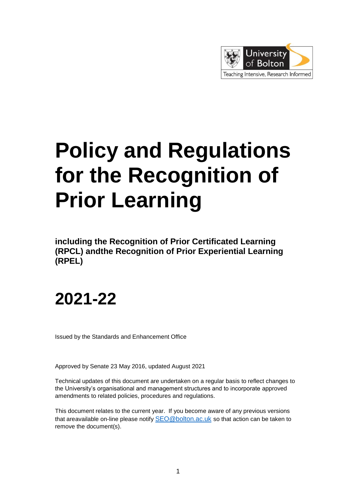

# **Policy and Regulations for the Recognition of Prior Learning**

**including the Recognition of Prior Certificated Learning (RPCL) andthe Recognition of Prior Experiential Learning (RPEL)**

## **2021-22**

Issued by the Standards and Enhancement Office

Approved by Senate 23 May 2016, updated August 2021

Technical updates of this document are undertaken on a regular basis to reflect changes to the University's organisational and management structures and to incorporate approved amendments to related policies, procedures and regulations.

This document relates to the current year. If you become aware of any previous versions that areavailable on-line please notify [SEO@bolton.ac.uk](mailto:SEO@bolton.ac.uk) so that action can be taken to remove the document(s).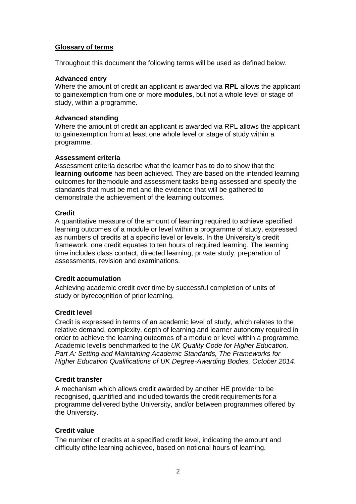#### **Glossary of terms**

Throughout this document the following terms will be used as defined below.

#### **Advanced entry**

Where the amount of credit an applicant is awarded via **RPL** allows the applicant to gainexemption from one or more **modules**, but not a whole level or stage of study, within a programme.

#### **Advanced standing**

Where the amount of credit an applicant is awarded via RPL allows the applicant to gainexemption from at least one whole level or stage of study within a programme.

#### **Assessment criteria**

Assessment criteria describe what the learner has to do to show that the **learning outcome** has been achieved. They are based on the intended learning outcomes for themodule and assessment tasks being assessed and specify the standards that must be met and the evidence that will be gathered to demonstrate the achievement of the learning outcomes.

#### **Credit**

A quantitative measure of the amount of learning required to achieve specified learning outcomes of a module or level within a programme of study, expressed as numbers of credits at a specific level or levels. In the University's credit framework, one credit equates to ten hours of required learning. The learning time includes class contact, directed learning, private study, preparation of assessments, revision and examinations.

#### **Credit accumulation**

Achieving academic credit over time by successful completion of units of study or byrecognition of prior learning.

#### **Credit level**

Credit is expressed in terms of an academic level of study, which relates to the relative demand, complexity, depth of learning and learner autonomy required in order to achieve the learning outcomes of a module or level within a programme. Academic levelis benchmarked to the *UK Quality Code for Higher Education, Part A: Setting and Maintaining Academic Standards, The Frameworks for Higher Education Qualifications of UK Degree-Awarding Bodies, October 2014*.

#### **Credit transfer**

A mechanism which allows credit awarded by another HE provider to be recognised, quantified and included towards the credit requirements for a programme delivered bythe University, and/or between programmes offered by the University.

#### **Credit value**

The number of credits at a specified credit level, indicating the amount and difficulty ofthe learning achieved, based on notional hours of learning.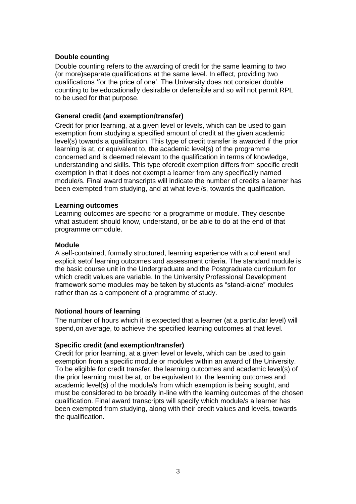#### **Double counting**

Double counting refers to the awarding of credit for the same learning to two (or more)separate qualifications at the same level. In effect, providing two qualifications 'for the price of one'. The University does not consider double counting to be educationally desirable or defensible and so will not permit RPL to be used for that purpose.

#### **General credit (and exemption/transfer)**

Credit for prior learning, at a given level or levels, which can be used to gain exemption from studying a specified amount of credit at the given academic level(s) towards a qualification. This type of credit transfer is awarded if the prior learning is at, or equivalent to, the academic level(s) of the programme concerned and is deemed relevant to the qualification in terms of knowledge, understanding and skills. This type ofcredit exemption differs from specific credit exemption in that it does not exempt a learner from any specifically named module/s. Final award transcripts will indicate the number of credits a learner has been exempted from studying, and at what level/s, towards the qualification.

#### **Learning outcomes**

Learning outcomes are specific for a programme or module. They describe what astudent should know, understand, or be able to do at the end of that programme ormodule.

#### **Module**

A self-contained, formally structured, learning experience with a coherent and explicit setof learning outcomes and assessment criteria. The standard module is the basic course unit in the Undergraduate and the Postgraduate curriculum for which credit values are variable. In the University Professional Development framework some modules may be taken by students as "stand-alone" modules rather than as a component of a programme of study.

#### **Notional hours of learning**

The number of hours which it is expected that a learner (at a particular level) will spend,on average, to achieve the specified learning outcomes at that level.

#### **Specific credit (and exemption/transfer)**

Credit for prior learning, at a given level or levels, which can be used to gain exemption from a specific module or modules within an award of the University. To be eligible for credit transfer, the learning outcomes and academic level(s) of the prior learning must be at, or be equivalent to, the learning outcomes and academic level(s) of the module/s from which exemption is being sought, and must be considered to be broadly in-line with the learning outcomes of the chosen qualification. Final award transcripts will specify which module/s a learner has been exempted from studying, along with their credit values and levels, towards the qualification.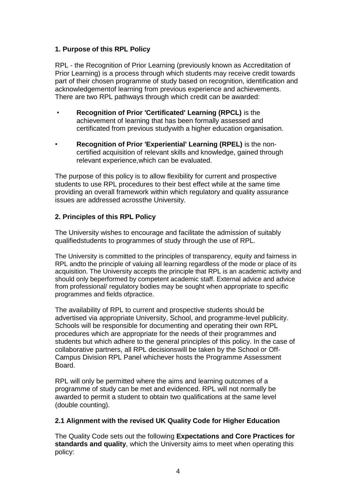#### **1. Purpose of this RPL Policy**

RPL - the Recognition of Prior Learning (previously known as Accreditation of Prior Learning) is a process through which students may receive credit towards part of their chosen programme of study based on recognition, identification and acknowledgementof learning from previous experience and achievements. There are two RPL pathways through which credit can be awarded:

- **Recognition of Prior 'Certificated' Learning (RPCL)** is the achievement of learning that has been formally assessed and certificated from previous studywith a higher education organisation.
- **Recognition of Prior 'Experiential' Learning (RPEL)** is the noncertified acquisition of relevant skills and knowledge, gained through relevant experience,which can be evaluated.

The purpose of this policy is to allow flexibility for current and prospective students to use RPL procedures to their best effect while at the same time providing an overall framework within which regulatory and quality assurance issues are addressed acrossthe University.

#### **2. Principles of this RPL Policy**

The University wishes to encourage and facilitate the admission of suitably qualifiedstudents to programmes of study through the use of RPL.

The University is committed to the principles of transparency, equity and fairness in RPL andto the principle of valuing all learning regardless of the mode or place of its acquisition. The University accepts the principle that RPL is an academic activity and should only beperformed by competent academic staff. External advice and advice from professional/ regulatory bodies may be sought when appropriate to specific programmes and fields ofpractice.

The availability of RPL to current and prospective students should be advertised via appropriate University, School, and programme-level publicity. Schools will be responsible for documenting and operating their own RPL procedures which are appropriate for the needs of their programmes and students but which adhere to the general principles of this policy. In the case of collaborative partners, all RPL decisionswill be taken by the School or Off-Campus Division RPL Panel whichever hosts the Programme Assessment Board.

RPL will only be permitted where the aims and learning outcomes of a programme of study can be met and evidenced. RPL will not normally be awarded to permit a student to obtain two qualifications at the same level (double counting).

#### **2.1 Alignment with the revised UK Quality Code for Higher Education**

The Quality Code sets out the following **Expectations and Core Practices for standards and quality**, which the University aims to meet when operating this policy: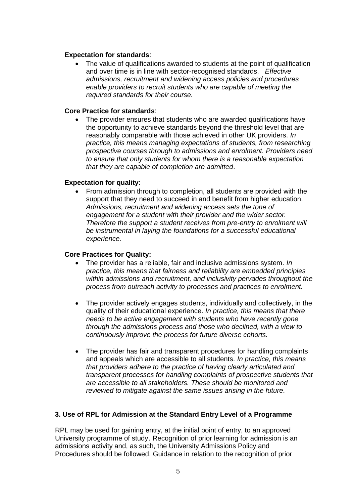#### **Expectation for standards**:

 The value of qualifications awarded to students at the point of qualification and over time is in line with sector-recognised standards. *Effective admissions, recruitment and widening access policies and procedures enable providers to recruit students who are capable of meeting the required standards for their course.*

#### **Core Practice for standards**:

• The provider ensures that students who are awarded qualifications have the opportunity to achieve standards beyond the threshold level that are reasonably comparable with those achieved in other UK providers. *In practice, this means managing expectations of students, from researching prospective courses through to admissions and enrolment. Providers need to ensure that only students for whom there is a reasonable expectation that they are capable of completion are admitted*.

#### **Expectation for quality**:

 From admission through to completion, all students are provided with the support that they need to succeed in and benefit from higher education. *Admissions, recruitment and widening access sets the tone of engagement for a student with their provider and the wider sector. Therefore the support a student receives from pre-entry to enrolment will be instrumental in laying the foundations for a successful educational experience.*

#### **Core Practices for Quality:**

- The provider has a reliable, fair and inclusive admissions system. *In practice, this means that fairness and reliability are embedded principles within admissions and recruitment, and inclusivity pervades throughout the process from outreach activity to processes and practices to enrolment.*
- The provider actively engages students, individually and collectively, in the quality of their educational experience. *In practice, this means that there needs to be active engagement with students who have recently gone through the admissions process and those who declined, with a view to continuously improve the process for future diverse cohorts.*
- The provider has fair and transparent procedures for handling complaints and appeals which are accessible to all students. *In practice, this means that providers adhere to the practice of having clearly articulated and transparent processes for handling complaints of prospective students that are accessible to all stakeholders. These should be monitored and reviewed to mitigate against the same issues arising in the future.*

#### **3. Use of RPL for Admission at the Standard Entry Level of a Programme**

RPL may be used for gaining entry, at the initial point of entry, to an approved University programme of study . Recognition of prior learning for admission is an admissions activity and, as such, the University Admissions Policy and Procedures should be followed. Guidance in relation to the recognition of prior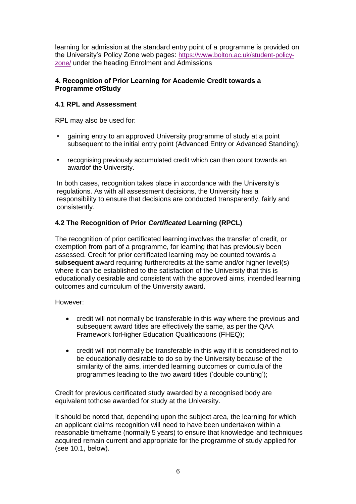learning for admission at the standard entry point of a programme is provided on the University's Policy Zone web pages: [https://www.bolton.ac.uk/student-policy](https://www.bolton.ac.uk/student-policy-zone/)[zone/](https://www.bolton.ac.uk/student-policy-zone/) under the heading Enrolment and Admissions

#### **4. Recognition of Prior Learning for Academic Credit towards a Programme ofStudy**

#### **4.1 RPL and Assessment**

RPL may also be used for:

- gaining entry to an approved University programme of study at a point subsequent to the initial entry point (Advanced Entry or Advanced Standing);
- recognising previously accumulated credit which can then count towards an awardof the University.

In both cases, recognition takes place in accordance with the University's regulations. As with all assessment decisions, the University has a responsibility to ensure that decisions are conducted transparently, fairly and consistently.

#### **4.2 The Recognition of Prior** *Certificated* **Learning (RPCL)**

The recognition of prior certificated learning involves the transfer of credit, or exemption from part of a programme, for learning that has previously been assessed. Credit for prior certificated learning may be counted towards a **subsequent** award requiring furthercredits at the same and/or higher level(s) where it can be established to the satisfaction of the University that this is educationally desirable and consistent with the approved aims, intended learning outcomes and curriculum of the University award.

However:

- credit will not normally be transferable in this way where the previous and subsequent award titles are effectively the same, as per the QAA Framework forHigher Education Qualifications (FHEQ);
- credit will not normally be transferable in this way if it is considered not to be educationally desirable to do so by the University because of the similarity of the aims, intended learning outcomes or curricula of the programmes leading to the two award titles ('double counting');

Credit for previous certificated study awarded by a recognised body are equivalent tothose awarded for study at the University.

It should be noted that, depending upon the subject area, the learning for which an applicant claims recognition will need to have been undertaken within a reasonable timeframe (normally 5 years) to ensure that knowledge and techniques acquired remain current and appropriate for the programme of study applied for (see 10.1, below).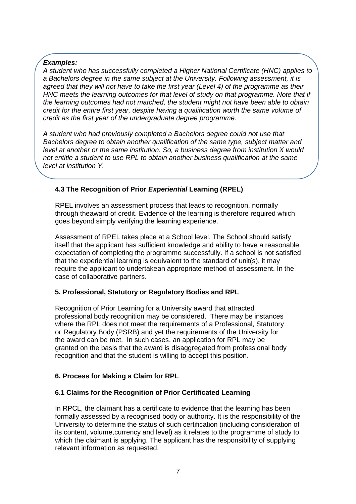#### *Examples:*

*A student who has successfully completed a Higher National Certificate (HNC) applies to a Bachelors degree in the same subject at the University. Following assessment, it is agreed that they will not have to take the first year (Level 4) of the programme as their HNC meets the learning outcomes for that level of study on that programme. Note that if the learning outcomes had not matched, the student might not have been able to obtain credit for the entire first year, despite having a qualification worth the same volume of credit as the first year of the undergraduate degree programme.*

*A student who had previously completed a Bachelors degree could not use that Bachelors degree to obtain another qualification of the same type, subject matter and level at another or the same institution. So, a business degree from institution X would not entitle a student to use RPL to obtain another business qualification at the same level at institution Y.*

#### **4.3 The Recognition of Prior** *Experiential* **Learning (RPEL)**

RPEL involves an assessment process that leads to recognition, normally through theaward of credit. Evidence of the learning is therefore required which goes beyond simply verifying the learning experience.

Assessment of RPEL takes place at a School level. The School should satisfy itself that the applicant has sufficient knowledge and ability to have a reasonable expectation of completing the programme successfully. If a school is not satisfied that the experiential learning is equivalent to the standard of unit(s), it may require the applicant to undertakean appropriate method of assessment. In the case of collaborative partners.

#### **5. Professional, Statutory or Regulatory Bodies and RPL**

Recognition of Prior Learning for a University award that attracted professional body recognition may be considered. There may be instances where the RPL does not meet the requirements of a Professional, Statutory or Regulatory Body (PSRB) and yet the requirements of the University for the award can be met. In such cases, an application for RPL may be granted on the basis that the award is disaggregated from professional body recognition and that the student is willing to accept this position.

#### **6. Process for Making a Claim for RPL**

#### **6.1 Claims for the Recognition of Prior Certificated Learning**

In RPCL, the claimant has a certificate to evidence that the learning has been formally assessed by a recognised body or authority. It is the responsibility of the University to determine the status of such certification (including consideration of its content, volume,currency and level) as it relates to the programme of study to which the claimant is applying. The applicant has the responsibility of supplying relevant information as requested.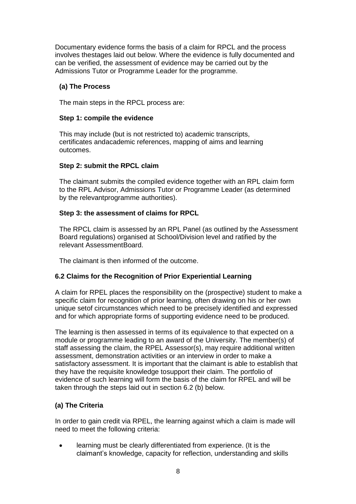Documentary evidence forms the basis of a claim for RPCL and the process involves thestages laid out below. Where the evidence is fully documented and can be verified, the assessment of evidence may be carried out by the Admissions Tutor or Programme Leader for the programme.

#### **(a) The Process**

The main steps in the RPCL process are:

#### **Step 1: compile the evidence**

This may include (but is not restricted to) academic transcripts, certificates andacademic references, mapping of aims and learning outcomes.

#### **Step 2: submit the RPCL claim**

The claimant submits the compiled evidence together with an RPL claim form to the RPL Advisor, Admissions Tutor or Programme Leader (as determined by the relevantprogramme authorities).

#### **Step 3: the assessment of claims for RPCL**

The RPCL claim is assessed by an RPL Panel (as outlined by the Assessment Board regulations) organised at School/Division level and ratified by the relevant AssessmentBoard.

The claimant is then informed of the outcome.

#### **6.2 Claims for the Recognition of Prior Experiential Learning**

A claim for RPEL places the responsibility on the (prospective) student to make a specific claim for recognition of prior learning, often drawing on his or her own unique setof circumstances which need to be precisely identified and expressed and for which appropriate forms of supporting evidence need to be produced.

The learning is then assessed in terms of its equivalence to that expected on a module or programme leading to an award of the University. The member(s) of staff assessing the claim, the RPEL Assessor(s), may require additional written assessment, demonstration activities or an interview in order to make a satisfactory assessment. It is important that the claimant is able to establish that they have the requisite knowledge tosupport their claim. The portfolio of evidence of such learning will form the basis of the claim for RPEL and will be taken through the steps laid out in section 6.2 (b) below.

#### **(a) The Criteria**

In order to gain credit via RPEL, the learning against which a claim is made will need to meet the following criteria:

 learning must be clearly differentiated from experience. (It is the claimant's knowledge, capacity for reflection, understanding and skills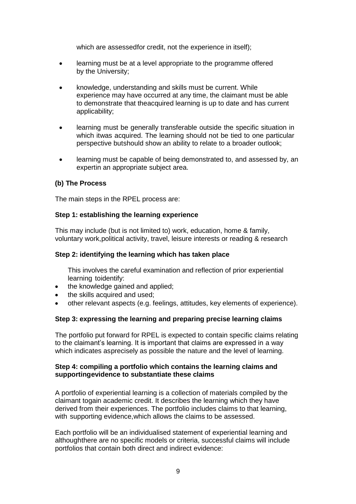which are assessedfor credit, not the experience in itself);

- learning must be at a level appropriate to the programme offered by the University;
- knowledge, understanding and skills must be current. While experience may have occurred at any time, the claimant must be able to demonstrate that theacquired learning is up to date and has current applicability;
- learning must be generally transferable outside the specific situation in which itwas acquired. The learning should not be tied to one particular perspective butshould show an ability to relate to a broader outlook;
- learning must be capable of being demonstrated to, and assessed by, an expertin an appropriate subject area.

#### **(b) The Process**

The main steps in the RPEL process are:

#### **Step 1: establishing the learning experience**

This may include (but is not limited to) work, education, home & family, voluntary work,political activity, travel, leisure interests or reading & research

#### **Step 2: identifying the learning which has taken place**

This involves the careful examination and reflection of prior experiential learning toidentify:

- the knowledge gained and applied;
- the skills acquired and used;
- other relevant aspects (e.g. feelings, attitudes, key elements of experience).

#### **Step 3: expressing the learning and preparing precise learning claims**

The portfolio put forward for RPEL is expected to contain specific claims relating to the claimant's learning. It is important that claims are expressed in a way which indicates asprecisely as possible the nature and the level of learning.

#### **Step 4: compiling a portfolio which contains the learning claims and supportingevidence to substantiate these claims**

A portfolio of experiential learning is a collection of materials compiled by the claimant togain academic credit. It describes the learning which they have derived from their experiences. The portfolio includes claims to that learning, with supporting evidence,which allows the claims to be assessed.

Each portfolio will be an individualised statement of experiential learning and althoughthere are no specific models or criteria, successful claims will include portfolios that contain both direct and indirect evidence: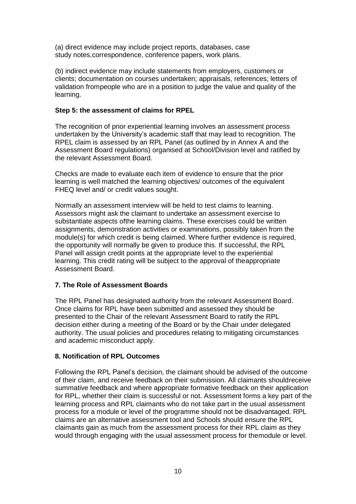(a) direct evidence may include project reports, databases, case study notes,correspondence, conference papers, work plans.

(b) indirect evidence may include statements from employers, customers or clients; documentation on courses undertaken; appraisals, references; letters of validation frompeople who are in a position to judge the value and quality of the learning.

#### **Step 5: the assessment of claims for RPEL**

The recognition of prior experiential learning involves an assessment process undertaken by the University's academic staff that may lead to recognition. The RPEL claim is assessed by an RPL Panel (as outlined by in Annex A and the Assessment Board regulations) organised at School/Division level and ratified by the relevant Assessment Board.

Checks are made to evaluate each item of evidence to ensure that the prior learning is well matched the learning objectives/ outcomes of the equivalent FHEQ level and/ or credit values sought.

Normally an assessment interview will be held to test claims to learning. Assessors might ask the claimant to undertake an assessment exercise to substantiate aspects ofthe learning claims. These exercises could be written assignments, demonstration activities or examinations, possibly taken from the module(s) for which credit is being claimed. Where further evidence is required, the opportunity will normally be given to produce this. If successful, the RPL Panel will assign credit points at the appropriate level to the experiential learning. This credit rating will be subject to the approval of theappropriate Assessment Board.

#### **7. The Role of Assessment Boards**

The RPL Panel has designated authority from the relevant Assessment Board. Once claims for RPL have been submitted and assessed they should be presented to the Chair of the relevant Assessment Board to ratify the RPL decision either during a meeting of the Board or by the Chair under delegated authority. The usual policies and procedures relating to mitigating circumstances and academic misconduct apply.

#### **8. Notification of RPL Outcomes**

Following the RPL Panel's decision, the claimant should be advised of the outcome of their claim, and receive feedback on their submission. All claimants shouldreceive summative feedback and where appropriate formative feedback on their application for RPL, whether their claim is successful or not. Assessment forms a key part of the learning process and RPL claimants who do not take part in the usual assessment process for a module or level of the programme should not be disadvantaged. RPL claims are an alternative assessment tool and Schools should ensure the RPL claimants gain as much from the assessment process for their RPL claim as they would through engaging with the usual assessment process for themodule or level.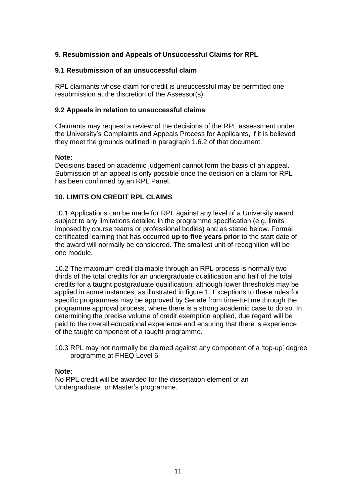#### **9. Resubmission and Appeals of Unsuccessful Claims for RPL**

#### **9.1 Resubmission of an unsuccessful claim**

RPL claimants whose claim for credit is unsuccessful may be permitted one resubmission at the discretion of the Assessor(s).

#### **9.2 Appeals in relation to unsuccessful claims**

Claimants may request a review of the decisions of the RPL assessment under the University's Complaints and Appeals Process for Applicants, if it is believed they meet the grounds outlined in paragraph 1.6.2 of that document.

#### **Note:**

Decisions based on academic judgement cannot form the basis of an appeal. Submission of an appeal is only possible once the decision on a claim for RPL has been confirmed by an RPL Panel.

#### **10. LIMITS ON CREDIT RPL CLAIMS**

10.1 Applications can be made for RPL against any level of a University award subject to any limitations detailed in the programme specification (e.g. limits imposed by course teams or professional bodies) and as stated below. Formal certificated learning that has occurred **up to five years prior** to the start date of the award will normally be considered. The smallest unit of recognition will be one module.

10.2 The maximum credit claimable through an RPL process is normally two thirds of the total credits for an undergraduate qualification and half of the total credits for a taught postgraduate qualification, although lower thresholds may be applied in some instances, as illustrated in figure 1. Exceptions to these rules for specific programmes may be approved by Senate from time-to-time through the programme approval process, where there is a strong academic case to do so. In determining the precise volume of credit exemption applied, due regard will be paid to the overall educational experience and ensuring that there is experience of the taught component of a taught programme.

10.3 RPL may not normally be claimed against any component of a 'top-up' degree programme at FHEQ Level 6.

#### **Note:**

No RPL credit will be awarded for the dissertation element of an Undergraduate or Master's programme.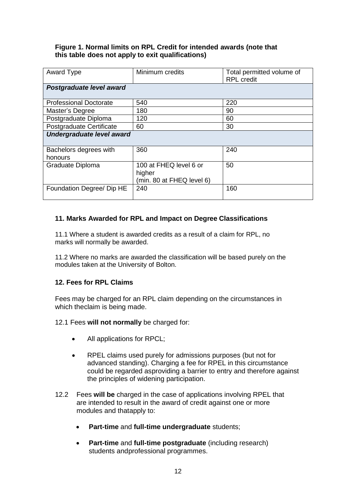#### **Figure 1. Normal limits on RPL Credit for intended awards (note that this table does not apply to exit qualifications)**

| <b>Award Type</b>             | Minimum credits                                               | Total permitted volume of<br><b>RPL</b> credit |
|-------------------------------|---------------------------------------------------------------|------------------------------------------------|
| Postgraduate level award      |                                                               |                                                |
| <b>Professional Doctorate</b> | 540                                                           | 220                                            |
| Master's Degree               | 180                                                           | 90                                             |
| Postgraduate Diploma          | 120                                                           | 60                                             |
| Postgraduate Certificate      | 60                                                            | 30                                             |
| Undergraduate level award     |                                                               |                                                |
| Bachelors degrees with        | 360                                                           | 240                                            |
| honours                       |                                                               |                                                |
| Graduate Diploma              | 100 at FHEQ level 6 or<br>higher<br>(min. 80 at FHEQ level 6) | 50                                             |
| Foundation Degree/ Dip HE     | 240                                                           | 160                                            |

#### **11. Marks Awarded for RPL and Impact on Degree Classifications**

11.1 Where a student is awarded credits as a result of a claim for RPL, no marks will normally be awarded.

11.2 Where no marks are awarded the classification will be based purely on the modules taken at the University of Bolton.

#### **12. Fees for RPL Claims**

Fees may be charged for an RPL claim depending on the circumstances in which theclaim is being made.

#### 12.1 Fees **will not normally** be charged for:

- All applications for RPCL;
- RPEL claims used purely for admissions purposes (but not for advanced standing). Charging a fee for RPEL in this circumstance could be regarded asproviding a barrier to entry and therefore against the principles of widening participation.
- 12.2 Fees **will be** charged in the case of applications involving RPEL that are intended to result in the award of credit against one or more modules and thatapply to:
	- **Part-time** and **full-time undergraduate** students;
	- **Part-time** and **full-time postgraduate** (including research) students andprofessional programmes.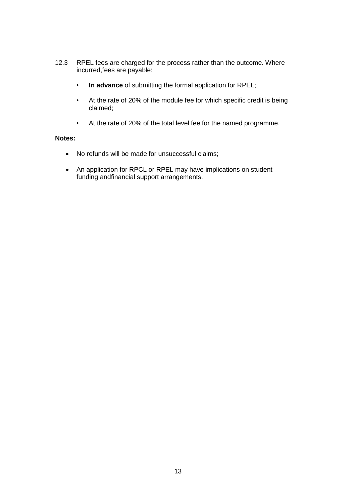- 12.3 RPEL fees are charged for the process rather than the outcome. Where incurred,fees are payable:
	- **In advance** of submitting the formal application for RPEL;
	- At the rate of 20% of the module fee for which specific credit is being claimed;
	- At the rate of 20% of the total level fee for the named programme.

#### **Notes:**

- No refunds will be made for unsuccessful claims;
- An application for RPCL or RPEL may have implications on student funding andfinancial support arrangements.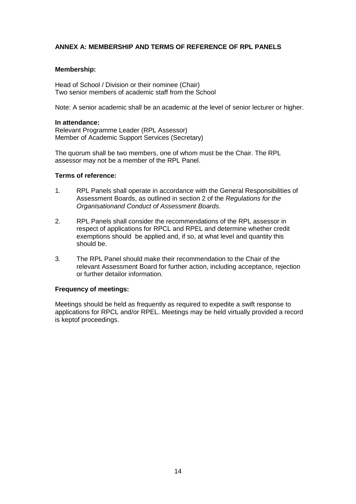#### **ANNEX A: MEMBERSHIP AND TERMS OF REFERENCE OF RPL PANELS**

#### **Membership:**

Head of School / Division or their nominee (Chair) Two senior members of academic staff from the School

Note: A senior academic shall be an academic at the level of senior lecturer or higher.

#### **In attendance:**

Relevant Programme Leader (RPL Assessor) Member of Academic Support Services (Secretary)

The quorum shall be two members, one of whom must be the Chair. The RPL assessor may not be a member of the RPL Panel.

#### **Terms of reference:**

- 1. RPL Panels shall operate in accordance with the General Responsibilities of Assessment Boards, as outlined in section 2 of the *Regulations for the Organisationand Conduct of Assessment Boards*.
- 2. RPL Panels shall consider the recommendations of the RPL assessor in respect of applications for RPCL and RPEL and determine whether credit exemptions should be applied and, if so, at what level and quantity this should be.
- 3. The RPL Panel should make their recommendation to the Chair of the relevant Assessment Board for further action, including acceptance, rejection or further detailor information.

#### **Frequency of meetings:**

Meetings should be held as frequently as required to expedite a swift response to applications for RPCL and/or RPEL. Meetings may be held virtually provided a record is keptof proceedings.